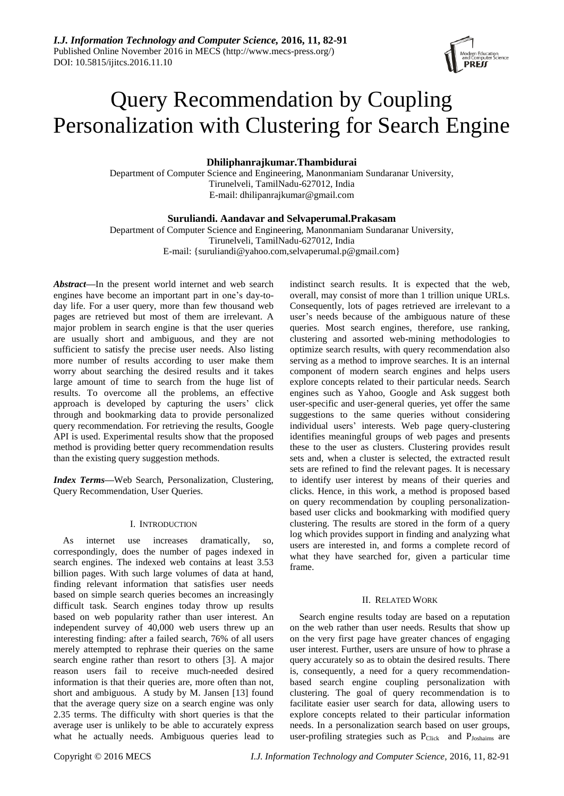# Query Recommendation by Coupling Personalization with Clustering for Search Engine

# **Dhiliphanrajkumar.Thambidurai**

Department of Computer Science and Engineering, Manonmaniam Sundaranar University, Tirunelveli, TamilNadu-627012, India E-mail: dhilipanrajkumar@gmail.com

# **Suruliandi. Aandavar and Selvaperumal.Prakasam**

Department of Computer Science and Engineering, Manonmaniam Sundaranar University, Tirunelveli, TamilNadu-627012, India E-mail: {suruliandi@yahoo.com,selvaperumal.p@gmail.com}

*Abstract***—**In the present world internet and web search engines have become an important part in one's day-today life. For a user query, more than few thousand web pages are retrieved but most of them are irrelevant. A major problem in search engine is that the user queries are usually short and ambiguous, and they are not sufficient to satisfy the precise user needs. Also listing more number of results according to user make them worry about searching the desired results and it takes large amount of time to search from the huge list of results. To overcome all the problems, an effective approach is developed by capturing the users' click through and bookmarking data to provide personalized query recommendation. For retrieving the results, Google API is used. Experimental results show that the proposed method is providing better query recommendation results than the existing query suggestion methods.

*Index Terms***—**Web Search, Personalization, Clustering, Query Recommendation, User Queries.

# I. INTRODUCTION

As internet use increases dramatically, so, correspondingly, does the number of pages indexed in search engines. The indexed web contains at least 3.53 billion pages. With such large volumes of data at hand, finding relevant information that satisfies user needs based on simple search queries becomes an increasingly difficult task. Search engines today throw up results based on web popularity rather than user interest. An independent survey of 40,000 web users threw up an interesting finding: after a failed search, 76% of all users merely attempted to rephrase their queries on the same search engine rather than resort to others [3]. A major reason users fail to receive much-needed desired information is that their queries are, more often than not, short and ambiguous. A study by M. Jansen [13] found that the average query size on a search engine was only 2.35 terms. The difficulty with short queries is that the average user is unlikely to be able to accurately express what he actually needs. Ambiguous queries lead to

indistinct search results. It is expected that the web, overall, may consist of more than 1 trillion unique URLs. Consequently, lots of pages retrieved are irrelevant to a user's needs because of the ambiguous nature of these queries. Most search engines, therefore, use ranking, clustering and assorted web-mining methodologies to optimize search results, with query recommendation also serving as a method to improve searches. It is an internal component of modern search engines and helps users explore concepts related to their particular needs. Search engines such as Yahoo, Google and Ask suggest both user-specific and user-general queries, yet offer the same suggestions to the same queries without considering individual users' interests. Web page query-clustering identifies meaningful groups of web pages and presents these to the user as clusters. Clustering provides result sets and, when a cluster is selected, the extracted result sets are refined to find the relevant pages. It is necessary to identify user interest by means of their queries and clicks. Hence, in this work, a method is proposed based on query recommendation by coupling personalizationbased user clicks and bookmarking with modified query clustering. The results are stored in the form of a query log which provides support in finding and analyzing what users are interested in, and forms a complete record of what they have searched for, given a particular time frame.

# II. RELATED WORK

Search engine results today are based on a reputation on the web rather than user needs. Results that show up on the very first page have greater chances of engaging user interest. Further, users are unsure of how to phrase a query accurately so as to obtain the desired results. There is, consequently, a need for a query recommendationbased search engine coupling personalization with clustering. The goal of query recommendation is to facilitate easier user search for data, allowing users to explore concepts related to their particular information needs. In a personalization search based on user groups, user-profiling strategies such as P<sub>Click</sub> and P<sub>Joshaims</sub> are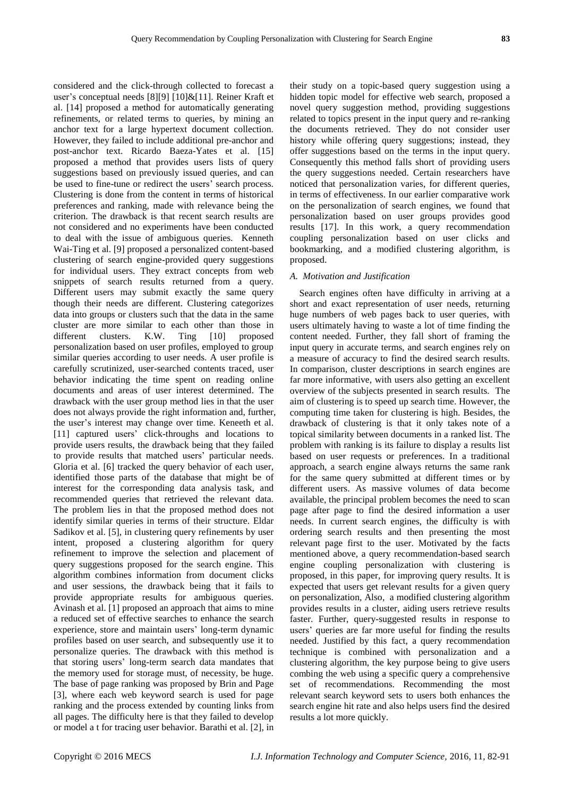considered and the click-through collected to forecast a user's conceptual needs [8][9] [10]&[11]. Reiner Kraft et al. [14] proposed a method for automatically generating refinements, or related terms to queries, by mining an anchor text for a large hypertext document collection. However, they failed to include additional pre-anchor and post-anchor text. Ricardo Baeza-Yates et al. [15] proposed a method that provides users lists of query suggestions based on previously issued queries, and can be used to fine-tune or redirect the users' search process. Clustering is done from the content in terms of historical preferences and ranking, made with relevance being the criterion. The drawback is that recent search results are not considered and no experiments have been conducted to deal with the issue of ambiguous queries. Kenneth Wai-Ting et al. [9] proposed a personalized content-based clustering of search engine-provided query suggestions for individual users. They extract concepts from web snippets of search results returned from a query. Different users may submit exactly the same query though their needs are different. Clustering categorizes data into groups or clusters such that the data in the same cluster are more similar to each other than those in different clusters. K.W. Ting [10] proposed personalization based on user profiles, employed to group similar queries according to user needs. A user profile is carefully scrutinized, user-searched contents traced, user behavior indicating the time spent on reading online documents and areas of user interest determined. The drawback with the user group method lies in that the user does not always provide the right information and, further, the user's interest may change over time. Keneeth et al. [11] captured users' click-throughs and locations to provide users results, the drawback being that they failed to provide results that matched users' particular needs. Gloria et al. [6] tracked the query behavior of each user, identified those parts of the database that might be of interest for the corresponding data analysis task, and recommended queries that retrieved the relevant data. The problem lies in that the proposed method does not identify similar queries in terms of their structure. Eldar Sadikov et al. [5], in clustering query refinements by user intent, proposed a clustering algorithm for query refinement to improve the selection and placement of query suggestions proposed for the search engine. This algorithm combines information from document clicks and user sessions, the drawback being that it fails to provide appropriate results for ambiguous queries. Avinash et al. [1] proposed an approach that aims to mine a reduced set of effective searches to enhance the search experience, store and maintain users' long-term dynamic profiles based on user search, and subsequently use it to personalize queries. The drawback with this method is that storing users' long-term search data mandates that the memory used for storage must, of necessity, be huge. The base of page ranking was proposed by Brin and Page [3], where each web keyword search is used for page ranking and the process extended by counting links from all pages. The difficulty here is that they failed to develop or model a t for tracing user behavior. Barathi et al. [2], in

their study on a topic-based query suggestion using a hidden topic model for effective web search, proposed a novel query suggestion method, providing suggestions related to topics present in the input query and re-ranking the documents retrieved. They do not consider user history while offering query suggestions; instead, they offer suggestions based on the terms in the input query. Consequently this method falls short of providing users the query suggestions needed. Certain researchers have noticed that personalization varies, for different queries, in terms of effectiveness. In our earlier comparative work on the personalization of search engines, we found that personalization based on user groups provides good results [17]. In this work, a query recommendation coupling personalization based on user clicks and bookmarking, and a modified clustering algorithm, is proposed.

# *A. Motivation and Justification*

Search engines often have difficulty in arriving at a short and exact representation of user needs, returning huge numbers of web pages back to user queries, with users ultimately having to waste a lot of time finding the content needed. Further, they fall short of framing the input query in accurate terms, and search engines rely on a measure of accuracy to find the desired search results. In comparison, cluster descriptions in search engines are far more informative, with users also getting an excellent overview of the subjects presented in search results. The aim of clustering is to speed up search time. However, the computing time taken for clustering is high. Besides, the drawback of clustering is that it only takes note of a topical similarity between documents in a ranked list. The problem with ranking is its failure to display a results list based on user requests or preferences. In a traditional approach, a search engine always returns the same rank for the same query submitted at different times or by different users. As massive volumes of data become available, the principal problem becomes the need to scan page after page to find the desired information a user needs. In current search engines, the difficulty is with ordering search results and then presenting the most relevant page first to the user. Motivated by the facts mentioned above, a query recommendation-based search engine coupling personalization with clustering is proposed, in this paper, for improving query results. It is expected that users get relevant results for a given query on personalization, Also, a modified clustering algorithm provides results in a cluster, aiding users retrieve results faster. Further, query-suggested results in response to users' queries are far more useful for finding the results needed. Justified by this fact, a query recommendation technique is combined with personalization and a clustering algorithm, the key purpose being to give users combing the web using a specific query a comprehensive set of recommendations. Recommending the most relevant search keyword sets to users both enhances the search engine hit rate and also helps users find the desired results a lot more quickly.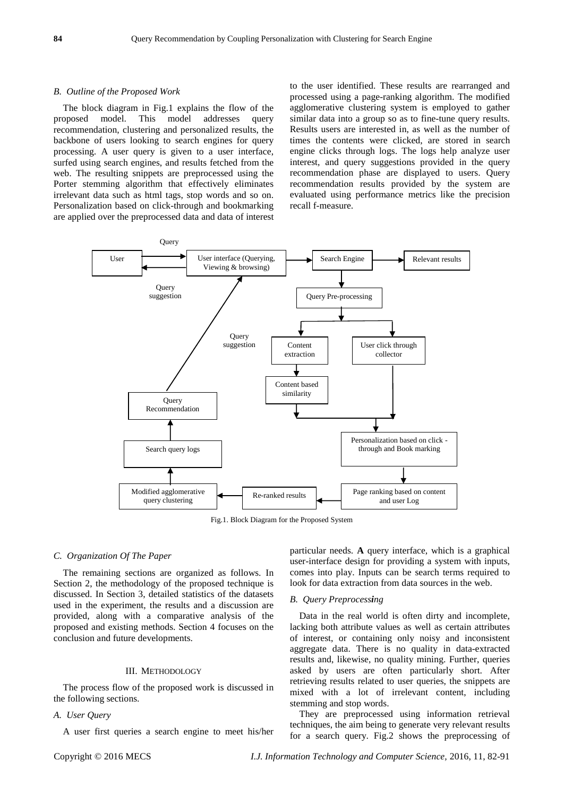#### *B. Outline of the Proposed Work*

The block diagram in Fig.1 explains the flow of the proposed model. This model addresses query recommendation, clustering and personalized results, the backbone of users looking to search engines for query processing. A user query is given to a user interface, surfed using search engines, and results fetched from the web. The resulting snippets are preprocessed using the Porter stemming algorithm that effectively eliminates irrelevant data such as html tags, stop words and so on. Personalization based on click-through and bookmarking are applied over the preprocessed data and data of interest to the user identified. These results are rearranged and processed using a page-ranking algorithm. The modified agglomerative clustering system is employed to gather similar data into a group so as to fine-tune query results. Results users are interested in, as well as the number of times the contents were clicked, are stored in search engine clicks through logs. The logs help analyze user interest, and query suggestions provided in the query recommendation phase are displayed to users. Query recommendation results provided by the system are evaluated using performance metrics like the precision recall f-measure.



Fig.1. Block Diagram for the Proposed System

# *C. Organization Of The Paper*

The remaining sections are organized as follows. In Section 2, the methodology of the proposed technique is discussed. In Section 3, detailed statistics of the datasets used in the experiment, the results and a discussion are provided, along with a comparative analysis of the proposed and existing methods. Section 4 focuses on the conclusion and future developments.

# III. METHODOLOGY

The process flow of the proposed work is discussed in the following sections.

# *A. User Query*

A user first queries a search engine to meet his/her

particular needs. **A** query interface, which is a graphical user-interface design for providing a system with inputs, comes into play. Inputs can be search terms required to look for data extraction from data sources in the web.

# *B. Query Preprocessing*

Data in the real world is often dirty and incomplete, lacking both attribute values as well as certain attributes of interest, or containing only noisy and inconsistent aggregate data. There is no quality in data-extracted results and, likewise, no quality mining. Further, queries asked by users are often particularly short. After retrieving results related to user queries, the snippets are mixed with a lot of irrelevant content, including stemming and stop words.

They are preprocessed using information retrieval techniques, the aim being to generate very relevant results for a search query. Fig.2 shows the preprocessing of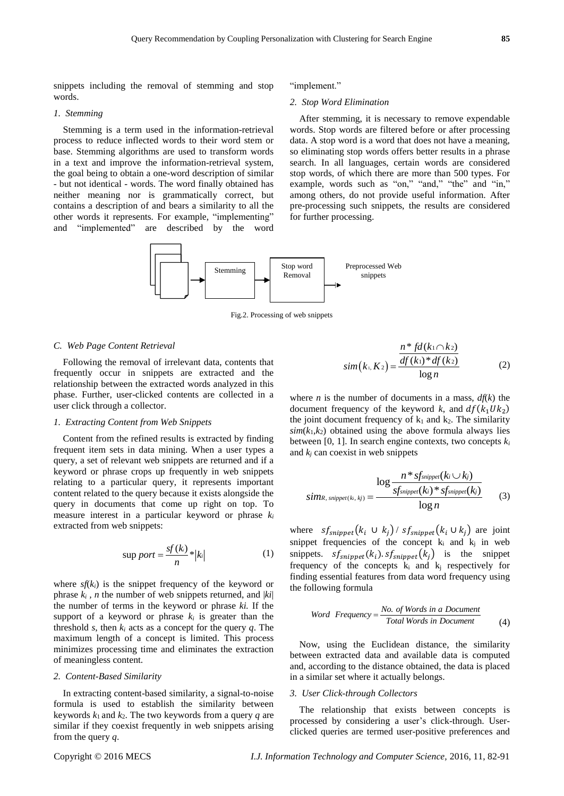snippets including the removal of stemming and stop words.

#### *1. Stemming*

Stemming is a term used in the information-retrieval process to reduce inflected words to their [word](https://en.wikipedia.org/wiki/Word_stem) stem or base. Stemming algorithms are used to transform words in a text and improve the information-retrieval system, the goal being to obtain a one-word description of similar - but not identical - words. The word finally obtained has neither meaning nor is grammatically correct, but contains a description of and bears a similarity to all the other words it represents. For example, "implementing" and "implemented" are described by the word

#### "implement."

# *2. Stop Word Elimination*

After stemming, it is necessary to remove expendable words. Stop words are filtered before or after processing data. A stop word is a word that does not have a meaning, so eliminating stop words offers better results in a phrase search. In all languages, certain words are considered stop words, of which there are more than 500 types. For example, words such as "on," "and," "the" and "in," among others, do not provide useful information. After pre-processing such snippets, the results are considered for further processing.



Fig.2. Processing of web snippets

#### *C. Web Page Content Retrieval*

Following the removal of irrelevant data, contents that frequently occur in snippets are extracted and the relationship between the extracted words analyzed in this phase. Further, user-clicked contents are collected in a user click through a collector.

# *1. Extracting Content from Web Snippets*

Content from the refined results is extracted by finding frequent item sets in data mining. When a user types a query, a set of relevant web snippets are returned and if a keyword or phrase crops up frequently in web snippets relating to a particular query, it represents important content related to the query because it exists alongside the query in documents that come up right on top. To measure interest in a particular keyword or phrase *k<sup>i</sup>* extracted from web snippets:

$$
\sup port = \frac{sf(k)}{n} * |k| \tag{1}
$$

where  $sf(k_i)$  is the snippet frequency of the keyword or phrase  $k_i$ , *n* the number of web snippets returned, and  $|ki|$ the number of terms in the keyword or phrase *ki.* If the support of a keyword or phrase  $k_i$  is greater than the threshold *s*, then  $k_i$  acts as a concept for the query  $q$ . The maximum length of a concept is limited. This process minimizes processing time and eliminates the extraction of meaningless content.

# *2. Content-Based Similarity*

In extracting content-based similarity, a signal-to-noise formula is used to establish the similarity between keywords  $k_1$  and  $k_2$ . The two keywords from a query  $q$  are similar if they coexist frequently in web snippets arising from the query *q*.

$$
sim(k_1, K_2) = \frac{n * fd(k_1 \cap k_2)}{\frac{df(k_1) * df(k_2)}{\log n}}
$$
(2)

where *n* is the number of documents in a mass,  $df(k)$  the document frequency of the keyword k, and  $df(k_1 U k_2)$ the joint document frequency of  $k_1$  and  $k_2$ . The similarity  $sim(k_1, k_2)$  obtained using the above formula always lies between [0, 1]. In search engine contexts, two concepts *k<sup>i</sup>* and  $k_i$  can coexist in web snippets

$$
sing \sum_{\text{sum}, \text{supper}(k_i, k_j)} \frac{\log \frac{n * sf_{\text{supper}}(k_i \cup k_j)}{sf_{\text{supper}}(k_i) * sf_{\text{supper}}(k_j)}}{\log n} \tag{3}
$$

where  $sf_{sflipped}(k_i \cup k_j) / sf_{snippet}(k_i \cup k_j)$  are joint snippet frequencies of the concept  $k_i$  and  $k_j$  in web snippets.  $s f_{s nippet}(k_i) . s f_{s nippet}(k_j)$  is the snippet frequency of the concepts  $k_i$  and  $k_j$  respectively for finding essential features from data word frequency using the following formula

Howing formula

\nWord Frequency = 
$$
\frac{No. \text{ of Words in a Document}}{Total Words in Document}
$$
 (4)

Now, using the Euclidean distance, the similarity between extracted data and available data is computed and, according to the distance obtained, the data is placed in a similar set where it actually belongs.

#### *3. User Click-through Collectors*

The relationship that exists between concepts is processed by considering a user's click-through. Userclicked queries are termed user-positive preferences and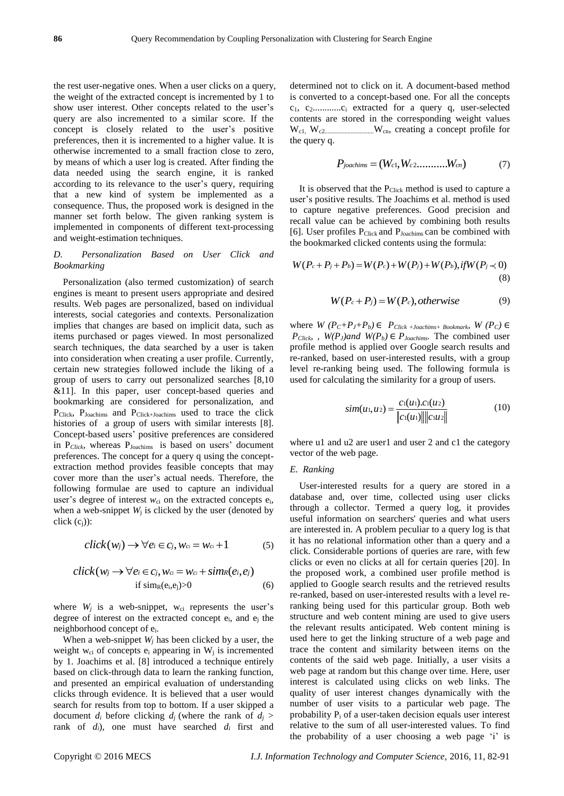the rest user-negative ones. When a user clicks on a query, the weight of the extracted concept is incremented by 1 to show user interest. Other concepts related to the user's query are also incremented to a similar score. If the concept is closely related to the user's positive preferences, then it is incremented to a higher value. It is otherwise incremented to a small fraction close to zero, by means of which a user log is created. After finding the data needed using the search engine, it is ranked according to its relevance to the user's query, requiring that a new kind of system be implemented as a consequence. Thus, the proposed work is designed in the manner set forth below. The given ranking system is implemented in components of different text-processing and weight-estimation techniques.

# *D. Personalization Based on User Click and Bookmarking*

Personalization (also termed customization) of search engines is meant to present users appropriate and desired results. Web pages are personalized, based on individual interests, social categories and contexts. Personalization implies that changes are based on implicit data, such as items purchased or pages viewed. In most personalized search techniques, the data searched by a user is taken into consideration when creating a user profile. Currently, certain new strategies followed include the liking of a group of users to carry out personalized searches [8,10 &11]. In this paper, user concept-based queries and bookmarking are considered for personalization, and PClick, PJoachims and PClick+Joachims used to trace the click histories of a group of users with similar interests [8]. Concept-based users' positive preferences are considered in P<sub>Click</sub>, whereas P<sub>Joachims</sub> is based on users' document preferences. The concept for a query q using the conceptextraction method provides feasible concepts that may cover more than the user's actual needs. Therefore, the following formulae are used to capture an individual user's degree of interest *w*<sub>ci</sub> on the extracted concepts e<sub>i</sub>, when a web-snippet  $W_i$  is clicked by the user (denoted by click  $(c_i)$ :

$$
click(w_j) \rightarrow \forall e_i \in c_j, w_{ci} = w_{ci} + 1 \tag{5}
$$

$$
click(w_j \rightarrow \forall e_i \in c_j, w_{ci} = w_{ci} + sim_R(e_i, e_j)
$$
  
if  $sim_R(e_i, e_j) > 0$  (6)

where  $W_i$  is a web-snippet,  $W_{ci}$  represents the user's degree of interest on the extracted concept  $e_i$ , and  $e_i$  the neighborhood concept of ei.

When a web-snippet *W<sup>j</sup>* has been clicked by a user, the weight  $w_{ci}$  of concepts  $e_i$  appearing in  $W_i$  is incremented by 1. Joachims et al. [8] introduced a technique entirely based on click-through data to learn the ranking function, and presented an empirical evaluation of understanding clicks through evidence. It is believed that a user would search for results from top to bottom. If a user skipped a document  $d_i$  before clicking  $d_j$  (where the rank of  $d_j$ ) rank of  $d_i$ ), one must have searched  $d_i$  first and

determined not to click on it. A document-based method is converted to a concept-based one. For all the concepts c1, c2............c<sup>i</sup> extracted for a query q, user-selected contents are stored in the corresponding weight values Wc1, Wc2................................Wcn, creating a concept profile for the query q.

$$
P_{jocchims} = (W_{c1}, W_{c2}, \dots, W_{cn})
$$
 (7)

It is observed that the P<sub>Click</sub> method is used to capture a user's positive results. The Joachims et al. method is used to capture negative preferences. Good precision and recall value can be achieved by combining both results [6]. User profiles P<sub>Click</sub> and P<sub>Joachims</sub> can be combined with

the bookmarked clicked contents using the formula:  
\n
$$
W(P_c + P_j + P_b) = W(P_c) + W(P_j) + W(P_b), \text{if } W(P_j \prec 0)
$$
\n(8)

$$
W(P_c+P_j) = W(P_c), otherwise
$$
 (9)

where  $W(P_C+P_J+P_b) \in P_{Click +Joachims + Bookmark}$ ,  $W(P_C) \in$ *P*<sub>Click</sub>, *W*( $P$ <sub>*J*</sub>)and</sub> *W*( $P$ <sub>*b*</sub>)</sub>  $\in$  *P*<sub>*Joachims***.** The combined user</sub> profile method is applied over Google search results and re-ranked, based on user-interested results, with a group level re-ranking being used. The following formula is used for calculating the similarity for a group of users.

$$
sim(u_1, u_2) = \frac{c_1(u_1) . c_1(u_2)}{\|c_1(u_1)\| \|c_1u_2\|}
$$
(10)

where u1 and u2 are user1 and user 2 and c1 the category vector of the web page.

# *E. Ranking*

User-interested results for a query are stored in a database and, over time, collected using user clicks through a collector. Termed a query log, it provides useful information on searchers' queries and what users are interested in. A problem peculiar to a query log is that it has no relational information other than a query and a click. Considerable portions of queries are rare, with few clicks or even no clicks at all for certain queries [20]. In the proposed work, a combined user profile method is applied to Google search results and the retrieved results re-ranked, based on user-interested results with a level reranking being used for this particular group. Both web structure and web content mining are used to give users the relevant results anticipated. Web content mining is used here to get the linking structure of a web page and trace the content and similarity between items on the contents of the said web page. Initially, a user visits a web page at random but this change over time. Here, user interest is calculated using clicks on web links. The quality of user interest changes dynamically with the number of user visits to a particular web page. The probability  $P_i$  of a user-taken decision equals user interest relative to the sum of all user-interested values. To find the probability of a user choosing a web page 'i' is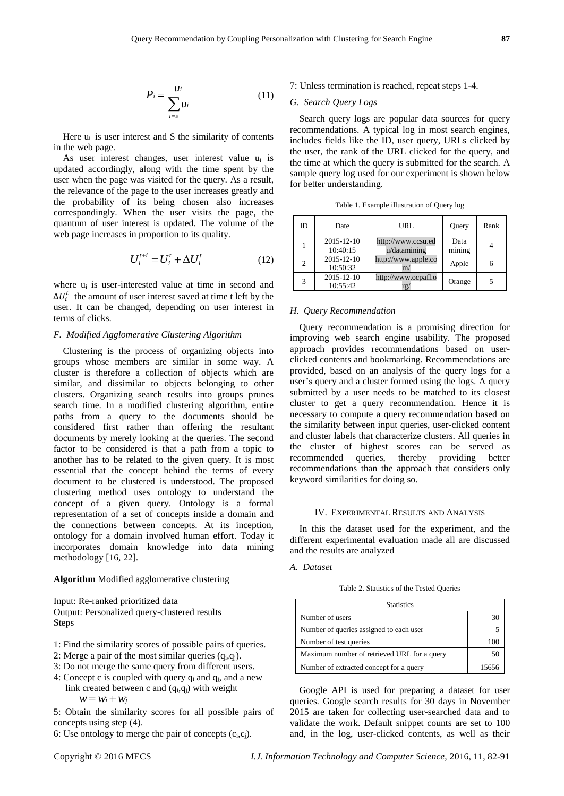$$
P_i = \frac{u_i}{\sum_{i=s} u_i} \tag{11}
$$

Here  $u_i$  is user interest and S the similarity of contents in the web page.

As user interest changes, user interest value u<sup>i</sup> is updated accordingly, along with the time spent by the user when the page was visited for the query. As a result, the relevance of the page to the user increases greatly and the probability of its being chosen also increases correspondingly. When the user visits the page, the quantum of user interest is updated. The volume of the web page increases in proportion to its quality.

$$
U_i^{t+i} = U_i^t + \Delta U_i^t \tag{12}
$$

where u<sup>i</sup> is user-interested value at time in second and  $\Delta U_i^t$  the amount of user interest saved at time t left by the user. It can be changed, depending on user interest in terms of clicks.

# *F. Modified Agglomerative Clustering Algorithm*

Clustering is the process of organizing objects into groups whose members are similar in some way. A cluster is therefore a collection of objects which are similar, and dissimilar to objects belonging to other clusters. Organizing search results into groups prunes search time. In a modified clustering algorithm, entire paths from a query to the documents should be considered first rather than offering the resultant documents by merely looking at the queries. The second factor to be considered is that a path from a topic to another has to be related to the given query. It is most essential that the concept behind the terms of every document to be clustered is understood. The proposed clustering method uses ontology to understand the concept of a given query. Ontology is a formal representation of a set of concepts inside a domain and the connections between concepts. At its inception, ontology for a domain involved human effort. Today it incorporates domain knowledge into data mining methodology [16, 22].

# **Algorithm** Modified agglomerative clustering

Input: Re-ranked prioritized data Output: Personalized query-clustered results Steps

- 1: Find the similarity scores of possible pairs of queries.
- 2: Merge a pair of the most similar queries  $(q_i,q_j)$ .
- 3: Do not merge the same query from different users.
- 4: Concept c is coupled with query  $q_i$  and  $q_j$ , and a new link created between c and  $(q_i,q_j)$  with weight  $w = w_i + w_j$

5: Obtain the similarity scores for all possible pairs of concepts using step (4).

6: Use ontology to merge the pair of concepts  $(c_i, c_j)$ .

# 7: Unless termination is reached, repeat steps 1-4.

# *G. Search Query Logs*

Search query logs are popular data sources for query recommendations. A typical log in most search engines, includes fields like the ID, user query, URLs clicked by the user, the rank of the URL clicked for the query, and the time at which the query is submitted for the search. A sample query log used for our experiment is shown below for better understanding.

| ID | Date                         | URL                                | Query          | Rank |
|----|------------------------------|------------------------------------|----------------|------|
|    | $2015 - 12 - 10$<br>10:40:15 | http://www.ccsu.ed<br>u/datamining | Data<br>mining |      |
| 2  | $2015 - 12 - 10$<br>10:50:32 | http://www.apple.co<br>m/          | Apple          | 6    |
| 3  | 2015-12-10<br>10:55:42       | http://www.ocpafl.o<br>rg/         | Orange         |      |

Table 1. Example illustration of Query log

### *H. Query Recommendation*

Query recommendation is a promising direction for improving web search engine usability. The proposed approach provides recommendations based on userclicked contents and bookmarking. Recommendations are provided, based on an analysis of the query logs for a user's query and a cluster formed using the logs. A query submitted by a user needs to be matched to its closest cluster to get a query recommendation. Hence it is necessary to compute a query recommendation based on the similarity between input queries, user-clicked content and cluster labels that characterize clusters. All queries in the cluster of highest scores can be served as recommended queries, thereby providing better recommendations than the approach that considers only keyword similarities for doing so.

# IV. EXPERIMENTAL RESULTS AND ANALYSIS

In this the dataset used for the experiment, and the different experimental evaluation made all are discussed and the results are analyzed

# *A. Dataset*

Table 2. Statistics of the Tested Queries

| <b>Statistics</b>                           |       |  |  |
|---------------------------------------------|-------|--|--|
| Number of users                             | 30    |  |  |
| Number of queries assigned to each user     |       |  |  |
| Number of test queries                      | 100   |  |  |
| Maximum number of retrieved URL for a query | 50    |  |  |
| Number of extracted concept for a query     | 15656 |  |  |

Google API is used for preparing a dataset for user queries. Google search results for 30 days in November 2015 are taken for collecting user-searched data and to validate the work. Default snippet counts are set to 100 and, in the log, user-clicked contents, as well as their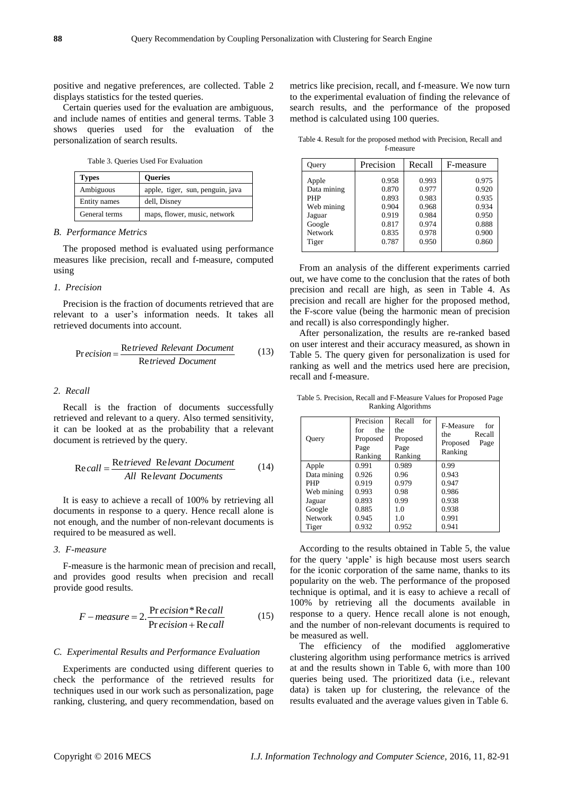positive and negative preferences, are collected. Table 2 displays statistics for the tested queries.

Certain queries used for the evaluation are ambiguous, and include names of entities and general terms. Table 3 shows queries used for the evaluation of the personalization of search results.

Table 3. Queries Used For Evaluation

| <b>Types</b>  | <b>Oueries</b>                   |  |
|---------------|----------------------------------|--|
| Ambiguous     | apple, tiger, sun, penguin, java |  |
| Entity names  | dell, Disney                     |  |
| General terms | maps, flower, music, network     |  |

# *B. Performance Metrics*

The proposed method is evaluated using performance measures like precision, recall and f-measure, computed using

# *1. Precision*

Precision is the fraction of documents retrieved that are relevant to a user's information needs. It takes all retrieved documents into account.

$$
Precision = \frac{Retrieved Relevant Document}{Retrieved Document}
$$
 (13)

# *2. Recall*

Recall is the fraction of documents successfully retrieved and relevant to a query. Also termed sensitivity, it can be looked at as the probability that a relevant document is retrieved by the query.

$$
Recall = \frac{Retrieved \text{ Relevant Document}}{All \text{ Relevant Document}} \tag{14}
$$

It is easy to achieve a recall of 100% by retrieving all documents in response to a query. Hence recall alone is not enough, and the number of non-relevant documents is required to be measured as well.

# *3. F-measure*

F-measure is the harmonic mean of precision and recall, and provides good results when precision and recall provide good results.

$$
F-measure = 2.\frac{\text{Pr}\,ecision * \text{Re}\,call}{\text{Pr}\,ecision + \text{Re}\,call}
$$
(15)

# *C. Experimental Results and Performance Evaluation*

Experiments are conducted using different queries to check the performance of the retrieved results for techniques used in our work such as personalization, page ranking, clustering, and query recommendation, based on metrics like precision, recall, and f-measure. We now turn to the experimental evaluation of finding the relevance of search results, and the performance of the proposed method is calculated using 100 queries.

Table 4. Result for the proposed method with Precision, Recall and f-measure

| Query          | Precision | Recall |       |
|----------------|-----------|--------|-------|
| Apple          | 0.958     | 0.993  | 0.975 |
| Data mining    | 0.870     | 0.977  | 0.920 |
| <b>PHP</b>     | 0.893     | 0.983  | 0.935 |
| Web mining     | 0.904     | 0.968  | 0.934 |
| Jaguar         | 0.919     | 0.984  | 0.950 |
| Google         | 0.817     | 0.974  | 0.888 |
| <b>Network</b> | 0.835     | 0.978  | 0.900 |
| Tiger          | 0.787     | 0.950  | 0.860 |

From an analysis of the different experiments carried out, we have come to the conclusion that the rates of both precision and recall are high, as seen in Table 4. As precision and recall are higher for the proposed method, the F-score value (being the harmonic mean of precision and recall) is also correspondingly higher.

After personalization, the results are re-ranked based on user interest and their accuracy measured, as shown in Table 5. The query given for personalization is used for ranking as well and the metrics used here are precision, recall and f-measure.

Table 5. Precision, Recall and F-Measure Values for Proposed Page Ranking Algorithms

| Query          | Precision<br>for<br>the<br>Proposed<br>Page<br>Ranking | Recall<br>for<br>the<br>Proposed<br>Page<br>Ranking | F-Measure<br>for<br>the<br>Recall<br>Proposed<br>Page<br>Ranking |
|----------------|--------------------------------------------------------|-----------------------------------------------------|------------------------------------------------------------------|
| Apple          | 0.991                                                  | 0.989                                               | 0.99                                                             |
| Data mining    | 0.926                                                  | 0.96                                                | 0.943                                                            |
| <b>PHP</b>     | 0.919                                                  | 0.979                                               | 0.947                                                            |
| Web mining     | 0.993                                                  | 0.98                                                | 0.986                                                            |
| Jaguar         | 0.893                                                  | 0.99                                                | 0.938                                                            |
| Google         | 0.885                                                  | 1.0                                                 | 0.938                                                            |
| <b>Network</b> | 0.945                                                  | 1.0                                                 | 0.991                                                            |
| Tiger          | 0.932                                                  | 0.952                                               | 0.941                                                            |

According to the results obtained in Table 5, the value for the query 'apple' is high because most users search for the iconic corporation of the same name, thanks to its popularity on the web. The performance of the proposed technique is optimal, and it is easy to achieve a recall of 100% by retrieving all the documents available in response to a query. Hence recall alone is not enough, and the number of non-relevant documents is required to be measured as well.

The efficiency of the modified agglomerative clustering algorithm using performance metrics is arrived at and the results shown in Table 6, with more than 100 queries being used. The prioritized data (i.e., relevant data) is taken up for clustering, the relevance of the results evaluated and the average values given in Table 6.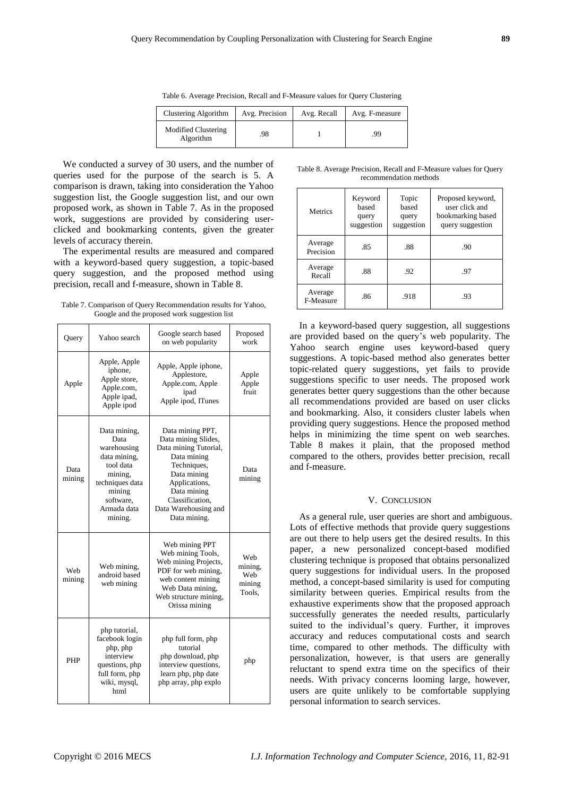Table 6. Average Precision, Recall and F-Measure values for Query Clustering

| Clustering Algorithm             | Avg. Precision | Avg. Recall | Avg. F-measure |
|----------------------------------|----------------|-------------|----------------|
| Modified Clustering<br>Algorithm | 98             |             | .99            |

We conducted a survey of 30 users, and the number of queries used for the purpose of the search is 5. A comparison is drawn, taking into consideration the Yahoo suggestion list, the Google suggestion list, and our own proposed work, as shown in Table 7. As in the proposed work, suggestions are provided by considering userclicked and bookmarking contents, given the greater levels of accuracy therein.

The experimental results are measured and compared with a keyword-based query suggestion, a topic-based query suggestion, and the proposed method using precision, recall and f-measure, shown in Table 8.

Table 7. Comparison of Query Recommendation results for Yahoo, Google and the proposed work suggestion list

| Query          | Yahoo search                                                                                                                                    | Google search based<br>on web popularity                                                                                                                                                                 |                                           |
|----------------|-------------------------------------------------------------------------------------------------------------------------------------------------|----------------------------------------------------------------------------------------------------------------------------------------------------------------------------------------------------------|-------------------------------------------|
| Apple          | Apple, Apple<br>iphone,<br>Apple store,<br>Apple.com,<br>Apple ipad,<br>Apple ipod                                                              | Apple, Apple iphone,<br>Applestore,<br>Apple.com, Apple<br>ipad<br>Apple ipod, ITunes                                                                                                                    | Apple<br>Apple<br>fruit                   |
| Data<br>mining | Data mining,<br>Data<br>warehousing<br>data mining,<br>tool data<br>mining,<br>techniques data<br>mining<br>software,<br>Armada data<br>mining. | Data mining PPT,<br>Data mining Slides,<br>Data mining Tutorial,<br>Data mining<br>Techniques,<br>Data mining<br>Applications,<br>Data mining<br>Classification.<br>Data Warehousing and<br>Data mining. | Data<br>mining                            |
| Web<br>mining  | Web mining,<br>android based<br>web mining                                                                                                      | Web mining PPT<br>Web mining Tools,<br>Web mining Projects,<br>PDF for web mining,<br>web content mining<br>Web Data mining,<br>Web structure mining,<br>Orissa mining                                   | Web<br>mining,<br>Web<br>mining<br>Tools. |
| <b>PHP</b>     | php tutorial,<br>facebook login<br>php, php<br>interview<br>questions, php<br>full form, php<br>wiki, mysql,<br>html                            | php full form, php<br>tutorial<br>php download, php<br>interview questions,<br>learn php, php date<br>php array, php explo                                                                               | php                                       |

Table 8. Average Precision, Recall and F-Measure values for Query recommendation methods

| Metrics              | Keyword<br>based<br>query<br>suggestion | Topic<br>based<br>query<br>suggestion | Proposed keyword,<br>user click and<br>bookmarking based<br>query suggestion |
|----------------------|-----------------------------------------|---------------------------------------|------------------------------------------------------------------------------|
| Average<br>Precision | .85                                     | .88                                   | .90                                                                          |
| Average<br>Recall    | .88                                     | .92                                   | .97                                                                          |
| Average<br>F-Measure | .86                                     | .918                                  | .93                                                                          |

In a keyword-based query suggestion, all suggestions are provided based on the query's web popularity. The Yahoo search engine uses keyword-based query suggestions. A topic-based method also generates better topic-related query suggestions, yet fails to provide suggestions specific to user needs. The proposed work generates better query suggestions than the other because all recommendations provided are based on user clicks and bookmarking. Also, it considers cluster labels when providing query suggestions. Hence the proposed method helps in minimizing the time spent on web searches. Table 8 makes it plain, that the proposed method compared to the others, provides better precision, recall and f-measure.

# V. CONCLUSION

As a general rule, user queries are short and ambiguous. Lots of effective methods that provide query suggestions are out there to help users get the desired results. In this paper, a new personalized concept-based modified clustering technique is proposed that obtains personalized query suggestions for individual users. In the proposed method, a concept-based similarity is used for computing similarity between queries. Empirical results from the exhaustive experiments show that the proposed approach successfully generates the needed results, particularly suited to the individual's query. Further, it improves accuracy and reduces computational costs and search time, compared to other methods. The difficulty with personalization, however, is that users are generally reluctant to spend extra time on the specifics of their needs. With privacy concerns looming large, however, users are quite unlikely to be comfortable supplying personal information to search services.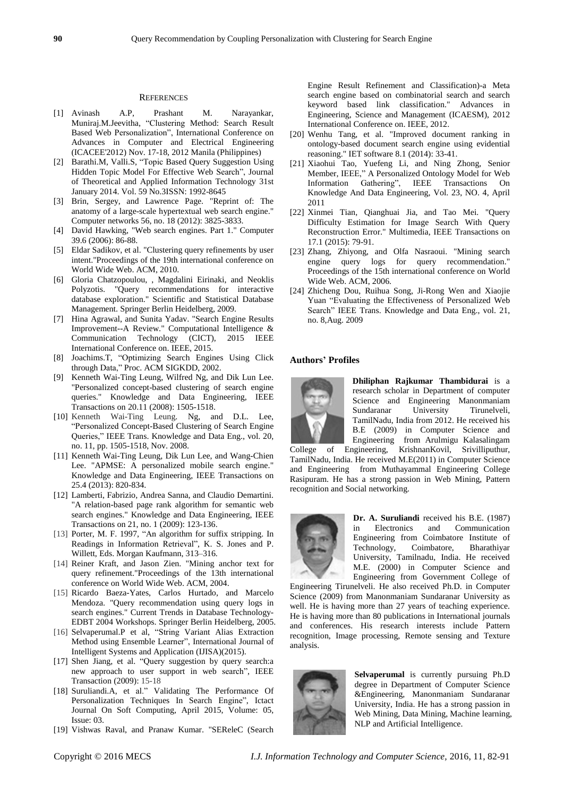#### **REFERENCES**

- [1] Avinash A.P, Prashant M. Narayankar, Muniraj.M.Jeevitha, "Clustering Method: Search Result Based Web Personalization", International Conference on Advances in Computer and Electrical Engineering (ICACEE'2012) Nov. 17-18, 2012 Manila (Philippines)
- [2] Barathi.M, Valli.S, "Topic Based Query Suggestion Using Hidden Topic Model For Effective Web Search", Journal of Theoretical and Applied Information Technology 31st January 2014. Vol. 59 No.3ISSN: 1992-8645
- [3] Brin, Sergey, and Lawrence Page. "Reprint of: The anatomy of a large-scale hypertextual web search engine." Computer networks 56, no. 18 (2012): 3825-3833.
- [4] David Hawking, "Web search engines. Part 1." Computer 39.6 (2006): 86-88.
- [5] Eldar Sadikov, et al. "Clustering query refinements by user intent."Proceedings of the 19th international conference on World Wide Web. ACM, 2010.
- [6] Gloria Chatzopoulou, , Magdalini Eirinaki, and Neoklis Polyzotis. "Query recommendations for interactive database exploration." Scientific and Statistical Database Management. Springer Berlin Heidelberg, 2009.
- [7] Hina Agrawal, and Sunita Yadav. "Search Engine Results Improvement--A Review." Computational Intelligence & Communication Technology (CICT), 2015 IEEE International Conference on. IEEE, 2015.
- [8] Joachims.T, "Optimizing Search Engines Using Click through Data," Proc. ACM SIGKDD, 2002.
- [9] Kenneth Wai-Ting Leung, Wilfred Ng, and Dik Lun Lee. "Personalized concept-based clustering of search engine queries." Knowledge and Data Engineering, IEEE Transactions on 20.11 (2008): 1505-1518.
- [10] Kenneth Wai-Ting Leung. Ng, and D.L. Lee, "Personalized Concept-Based Clustering of Search Engine Queries," IEEE Trans. Knowledge and Data Eng., vol. 20, no. 11, pp. 1505-1518, Nov. 2008.
- [11] Kenneth Wai-Ting Leung, Dik Lun Lee, and Wang-Chien Lee. "APMSE: A personalized mobile search engine." Knowledge and Data Engineering, IEEE Transactions on 25.4 (2013): 820-834.
- [12] Lamberti, Fabrizio, Andrea Sanna, and Claudio Demartini. "A relation-based page rank algorithm for semantic web search engines." Knowledge and Data Engineering, IEEE Transactions on 21, no. 1 (2009): 123-136.
- [13] Porter, M. F. 1997, "An algorithm for suffix stripping. In Readings in Information Retrieval", K. S. Jones and P. Willett, Eds. Morgan Kaufmann, 313–316.
- [14] Reiner Kraft, and Jason Zien. "Mining anchor text for query refinement."Proceedings of the 13th international conference on World Wide Web. ACM, 2004.
- [15] Ricardo Baeza-Yates, Carlos Hurtado, and Marcelo Mendoza. "Query recommendation using query logs in search engines." Current Trends in Database Technology-EDBT 2004 Workshops. Springer Berlin Heidelberg, 2005.
- [16] Selvaperumal.P et al, "String Variant Alias Extraction Method using Ensemble Learner", International Journal of Intelligent Systems and Application (IJISA)(2015).
- [17] Shen Jiang, et al. "Query suggestion by query search:a new approach to user support in web search", IEEE Transaction (2009): 15-18
- [18] Suruliandi.A, et al." Validating The Performance Of Personalization Techniques In Search Engine", Ictact Journal On Soft Computing, April 2015, Volume: 05, Issue: 03.
- [19] Vishwas Raval, and Pranaw Kumar. "SEReleC (Search

Engine Result Refinement and Classification)-a Meta search engine based on combinatorial search and search keyword based link classification." Advances in Engineering, Science and Management (ICAESM), 2012 International Conference on. IEEE, 2012.

- [20] Wenhu Tang, et al. "Improved document ranking in ontology-based document search engine using evidential reasoning." IET software 8.1 (2014): 33-41.
- [21] Xiaohui Tao, Yuefeng Li, and Ning Zhong, Senior Member, IEEE," A Personalized Ontology Model for Web Information Gathering", IEEE Transactions On Knowledge And Data Engineering, Vol. 23, NO. 4, April 2011
- [22] Xinmei Tian, Qianghuai Jia, and Tao Mei. "Query Difficulty Estimation for Image Search With Query Reconstruction Error." Multimedia, IEEE Transactions on 17.1 (2015): 79-91.
- [23] Zhang, Zhiyong, and Olfa Nasraoui. "Mining search engine query logs for query recommendation." Proceedings of the 15th international conference on World Wide Web. ACM, 2006.
- [24] Zhicheng Dou, Ruihua Song, Ji-Rong Wen and Xiaojie Yuan "Evaluating the Effectiveness of Personalized Web Search" IEEE Trans. Knowledge and Data Eng., vol. 21, no. 8,Aug. 2009

# **Authors' Profiles**



**Dhiliphan Rajkumar Thambidurai** is a research scholar in Department of computer Science and Engineering Manonmaniam Sundaranar University Tirunelveli, TamilNadu, India from 2012. He received his B.E (2009) in Computer Science and Engineering from Arulmigu Kalasalingam

College of Engineering, KrishnanKovil, Srivilliputhur, TamilNadu, India. He received M.E(2011) in Computer Science and Engineering from Muthayammal Engineering College Rasipuram. He has a strong passion in Web Mining, Pattern recognition and Social networking.



**Dr. A. Suruliandi** received his B.E. (1987) in Electronics and Communication Engineering from Coimbatore Institute of Technology, Coimbatore, Bharathiyar University, Tamilnadu, India. He received M.E. (2000) in Computer Science and Engineering from Government College of

Engineering Tirunelveli. He also received Ph.D. in Computer Science (2009) from Manonmaniam Sundaranar University as well. He is having more than 27 years of teaching experience. He is having more than 80 publications in International journals and conferences. His research interests include Pattern recognition, Image processing, Remote sensing and Texture analysis.



**Selvaperumal** is currently pursuing Ph.D degree in Department of Computer Science &Engineering, Manonmaniam Sundaranar University, India. He has a strong passion in Web Mining, Data Mining, Machine learning, NLP and Artificial Intelligence.